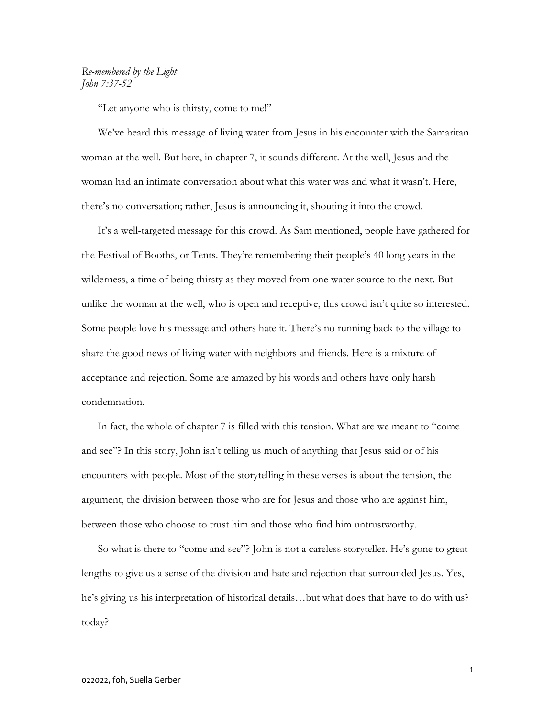## Re-membered by the Light John 7:37-52

"Let anyone who is thirsty, come to me!"

We've heard this message of living water from Jesus in his encounter with the Samaritan woman at the well. But here, in chapter 7, it sounds different. At the well, Jesus and the woman had an intimate conversation about what this water was and what it wasn't. Here, there's no conversation; rather, Jesus is announcing it, shouting it into the crowd.

It's a well-targeted message for this crowd. As Sam mentioned, people have gathered for the Festival of Booths, or Tents. They're remembering their people's 40 long years in the wilderness, a time of being thirsty as they moved from one water source to the next. But unlike the woman at the well, who is open and receptive, this crowd isn't quite so interested. Some people love his message and others hate it. There's no running back to the village to share the good news of living water with neighbors and friends. Here is a mixture of acceptance and rejection. Some are amazed by his words and others have only harsh condemnation.

In fact, the whole of chapter 7 is filled with this tension. What are we meant to "come and see"? In this story, John isn't telling us much of anything that Jesus said or of his encounters with people. Most of the storytelling in these verses is about the tension, the argument, the division between those who are for Jesus and those who are against him, between those who choose to trust him and those who find him untrustworthy.

So what is there to "come and see"? John is not a careless storyteller. He's gone to great lengths to give us a sense of the division and hate and rejection that surrounded Jesus. Yes, he's giving us his interpretation of historical details…but what does that have to do with us? today?

1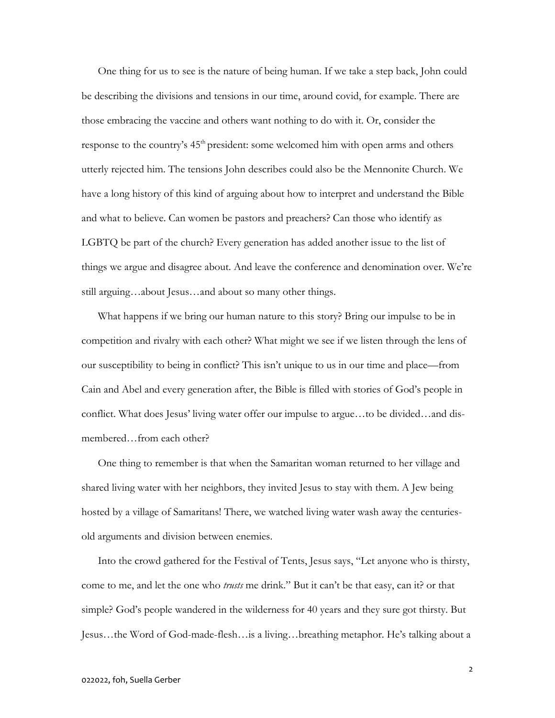One thing for us to see is the nature of being human. If we take a step back, John could be describing the divisions and tensions in our time, around covid, for example. There are those embracing the vaccine and others want nothing to do with it. Or, consider the response to the country's  $45<sup>th</sup>$  president: some welcomed him with open arms and others utterly rejected him. The tensions John describes could also be the Mennonite Church. We have a long history of this kind of arguing about how to interpret and understand the Bible and what to believe. Can women be pastors and preachers? Can those who identify as LGBTQ be part of the church? Every generation has added another issue to the list of things we argue and disagree about. And leave the conference and denomination over. We're still arguing…about Jesus…and about so many other things.

What happens if we bring our human nature to this story? Bring our impulse to be in competition and rivalry with each other? What might we see if we listen through the lens of our susceptibility to being in conflict? This isn't unique to us in our time and place—from Cain and Abel and every generation after, the Bible is filled with stories of God's people in conflict. What does Jesus' living water offer our impulse to argue…to be divided…and dismembered…from each other?

One thing to remember is that when the Samaritan woman returned to her village and shared living water with her neighbors, they invited Jesus to stay with them. A Jew being hosted by a village of Samaritans! There, we watched living water wash away the centuriesold arguments and division between enemies.

Into the crowd gathered for the Festival of Tents, Jesus says, "Let anyone who is thirsty, come to me, and let the one who *trusts* me drink." But it can't be that easy, can it? or that simple? God's people wandered in the wilderness for 40 years and they sure got thirsty. But Jesus…the Word of God-made-flesh…is a living…breathing metaphor. He's talking about a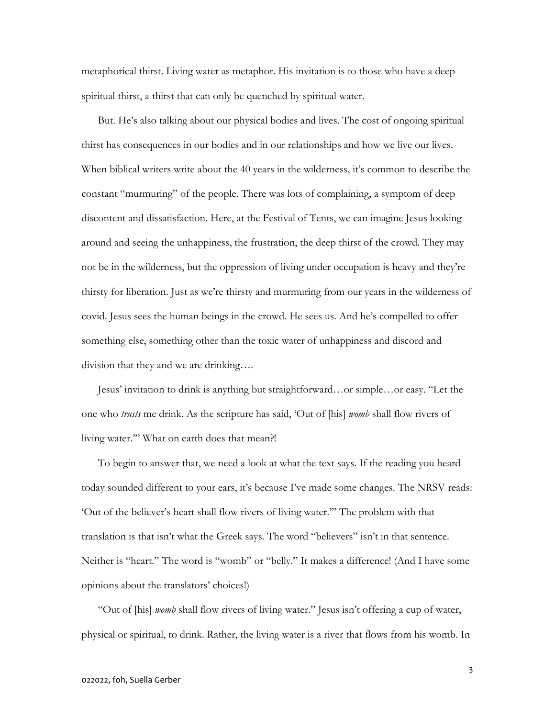metaphorical thirst. Living water as metaphor. His invitation is to those who have a deep spiritual thirst, a thirst that can only be quenched by spiritual water.

But. He's also talking about our physical bodies and lives. The cost of ongoing spiritual thirst has consequences in our bodies and in our relationships and how we live our lives. When biblical writers write about the 40 years in the wilderness, it's common to describe the constant "murmuring" of the people. There was lots of complaining, a symptom of deep discontent and dissatisfaction. Here, at the Festival of Tents, we can imagine Jesus looking around and seeing the unhappiness, the frustration, the deep thirst of the crowd. They may not be in the wilderness, but the oppression of living under occupation is heavy and they're thirsty for liberation. Just as we're thirsty and murmuring from our years in the wilderness of covid. Jesus sees the human beings in the crowd. He sees us. And he's compelled to offer something else, something other than the toxic water of unhappiness and discord and division that they and we are drinking….

Jesus' invitation to drink is anything but straightforward…or simple…or easy. "Let the one who *trusts* me drink. As the scripture has said, 'Out of [his] *womb* shall flow rivers of living water."" What on earth does that mean?!

To begin to answer that, we need a look at what the text says. If the reading you heard today sounded different to your ears, it's because I've made some changes. The NRSV reads: 'Out of the believer's heart shall flow rivers of living water.'" The problem with that translation is that isn't what the Greek says. The word "believers" isn't in that sentence. Neither is "heart." The word is "womb" or "belly." It makes a difference! (And I have some opinions about the translators' choices!)

"Out of [his] *womb* shall flow rivers of living water." Jesus isn't offering a cup of water, physical or spiritual, to drink. Rather, the living water is a river that flows from his womb. In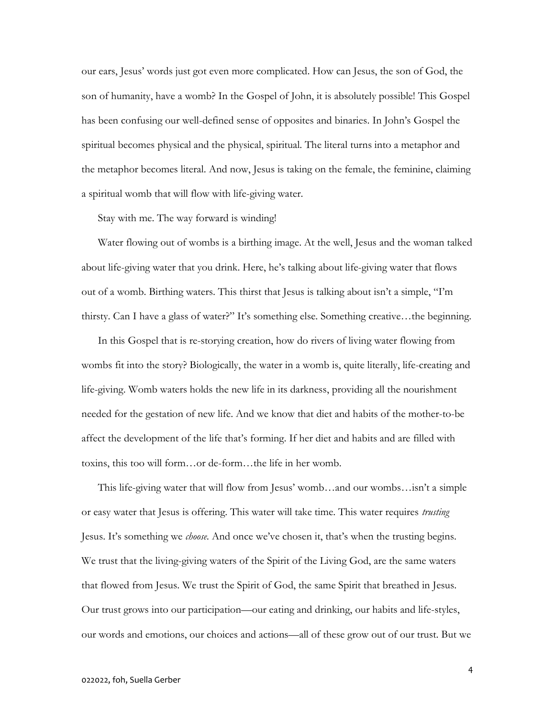our ears, Jesus' words just got even more complicated. How can Jesus, the son of God, the son of humanity, have a womb? In the Gospel of John, it is absolutely possible! This Gospel has been confusing our well-defined sense of opposites and binaries. In John's Gospel the spiritual becomes physical and the physical, spiritual. The literal turns into a metaphor and the metaphor becomes literal. And now, Jesus is taking on the female, the feminine, claiming a spiritual womb that will flow with life-giving water.

Stay with me. The way forward is winding!

Water flowing out of wombs is a birthing image. At the well, Jesus and the woman talked about life-giving water that you drink. Here, he's talking about life-giving water that flows out of a womb. Birthing waters. This thirst that Jesus is talking about isn't a simple, "I'm thirsty. Can I have a glass of water?" It's something else. Something creative…the beginning.

In this Gospel that is re-storying creation, how do rivers of living water flowing from wombs fit into the story? Biologically, the water in a womb is, quite literally, life-creating and life-giving. Womb waters holds the new life in its darkness, providing all the nourishment needed for the gestation of new life. And we know that diet and habits of the mother-to-be affect the development of the life that's forming. If her diet and habits and are filled with toxins, this too will form…or de-form…the life in her womb.

This life-giving water that will flow from Jesus' womb…and our wombs…isn't a simple or easy water that Jesus is offering. This water will take time. This water requires *trusting* Jesus. It's something we choose. And once we've chosen it, that's when the trusting begins. We trust that the living-giving waters of the Spirit of the Living God, are the same waters that flowed from Jesus. We trust the Spirit of God, the same Spirit that breathed in Jesus. Our trust grows into our participation—our eating and drinking, our habits and life-styles, our words and emotions, our choices and actions—all of these grow out of our trust. But we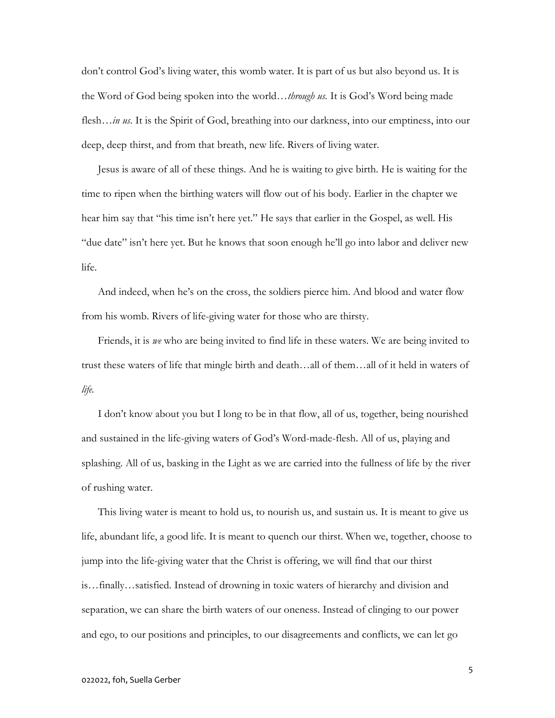don't control God's living water, this womb water. It is part of us but also beyond us. It is the Word of God being spoken into the world…*through us*. It is God's Word being made flesh…*in us*. It is the Spirit of God, breathing into our darkness, into our emptiness, into our deep, deep thirst, and from that breath, new life. Rivers of living water.

Jesus is aware of all of these things. And he is waiting to give birth. He is waiting for the time to ripen when the birthing waters will flow out of his body. Earlier in the chapter we hear him say that "his time isn't here yet." He says that earlier in the Gospel, as well. His "due date" isn't here yet. But he knows that soon enough he'll go into labor and deliver new life.

And indeed, when he's on the cross, the soldiers pierce him. And blood and water flow from his womb. Rivers of life-giving water for those who are thirsty.

Friends, it is we who are being invited to find life in these waters. We are being invited to trust these waters of life that mingle birth and death…all of them…all of it held in waters of life.

I don't know about you but I long to be in that flow, all of us, together, being nourished and sustained in the life-giving waters of God's Word-made-flesh. All of us, playing and splashing. All of us, basking in the Light as we are carried into the fullness of life by the river of rushing water.

This living water is meant to hold us, to nourish us, and sustain us. It is meant to give us life, abundant life, a good life. It is meant to quench our thirst. When we, together, choose to jump into the life-giving water that the Christ is offering, we will find that our thirst is…finally…satisfied. Instead of drowning in toxic waters of hierarchy and division and separation, we can share the birth waters of our oneness. Instead of clinging to our power and ego, to our positions and principles, to our disagreements and conflicts, we can let go

5